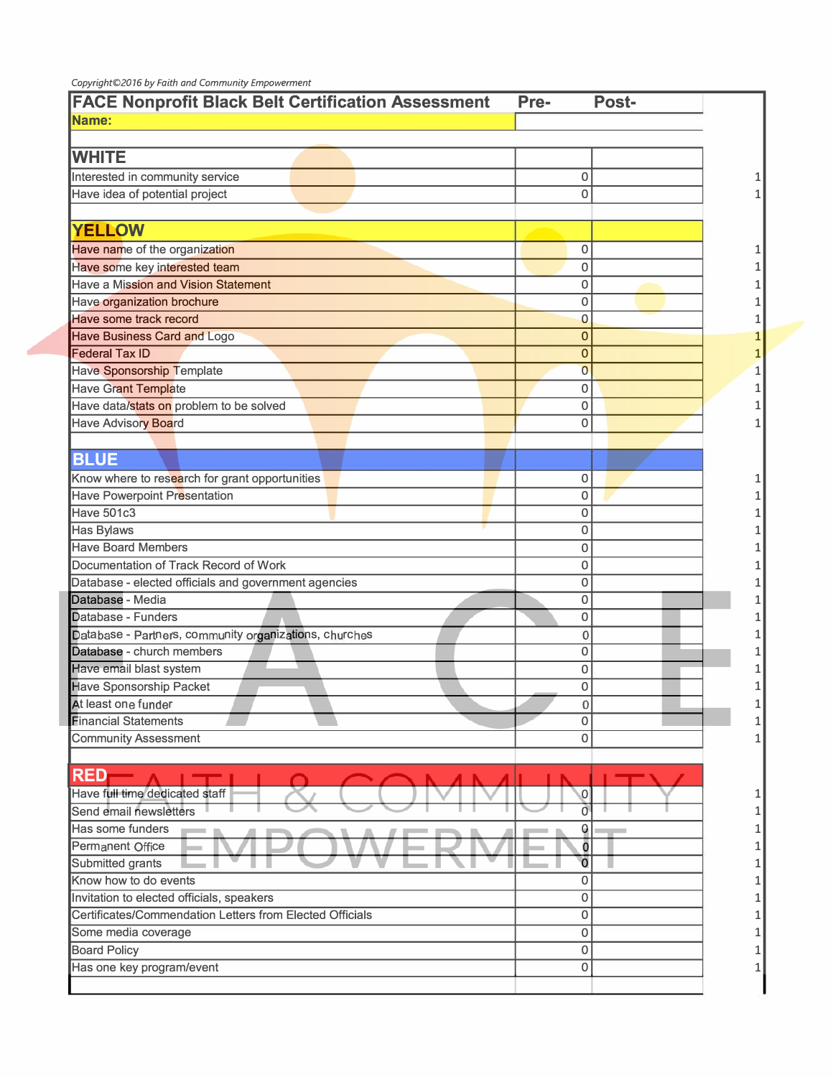| <b>FACE Nonprofit Black Belt Certification Assessment</b> | Post-<br>Pre-  |  |
|-----------------------------------------------------------|----------------|--|
| Name:                                                     |                |  |
|                                                           |                |  |
| <b>WHITE</b>                                              |                |  |
| Interested in community service                           | 0              |  |
| Have idea of potential project                            | $\Omega$       |  |
|                                                           |                |  |
| <b>YELLOW</b>                                             |                |  |
| Have name of the organization                             | 0              |  |
| Have some key interested team                             | $\mathbf 0$    |  |
| Have a Mission and Vision Statement                       | 0              |  |
| Have organization brochure                                | 0              |  |
| Have some track record                                    | 0              |  |
| <b>Have Business Card and Logo</b>                        | 0              |  |
| <b>Federal Tax ID</b>                                     | 0              |  |
| Have Sponsorship Template                                 | $\overline{0}$ |  |
| <b>Have Grant Template</b>                                | 0              |  |
| Have data/stats on problem to be solved                   | $\mathbf 0$    |  |
| Have Advisory Board                                       | 0              |  |
|                                                           |                |  |
| <b>BLUE</b>                                               |                |  |
| Know where to research for grant opportunities            | 0              |  |
| Have Powerpoint Presentation                              | $\mathbf 0$    |  |
| Have 501c3                                                | 0              |  |
| <b>Has Bylaws</b>                                         | 0              |  |
| <b>Have Board Members</b>                                 | 0              |  |
| Documentation of Track Record of Work                     | 0              |  |
| Database - elected officials and government agencies      | 0              |  |
| Database - Media                                          | 0              |  |
| Database - Funders                                        | 0              |  |
| Database - Partners, community organizations, churches    | 0              |  |
| Database - church members                                 | 0              |  |
| Have email blast system                                   | 0              |  |
| <b>Have Sponsorship Packet</b>                            | 0              |  |
| At least one funder                                       | O              |  |
| <b>Financial Statements</b>                               | 0              |  |
| <b>Community Assessment</b>                               | 0              |  |
|                                                           |                |  |
| <b>RED</b>                                                |                |  |
| Have full time dedicated staff                            | 0              |  |
| Send email newsletters                                    |                |  |
| Has some funders                                          | 0              |  |
| <b>Permanent Office</b>                                   | Ō              |  |
| Submitted grants                                          | $\overline{0}$ |  |
| Know how to do events                                     | 0              |  |
| Invitation to elected officials, speakers                 | 0              |  |
| Certificates/Commendation Letters from Elected Officials  | 0              |  |
| Some media coverage                                       | 0              |  |
| <b>Board Policy</b>                                       | 0              |  |
| Has one key program/event                                 | $\Omega$       |  |
|                                                           |                |  |